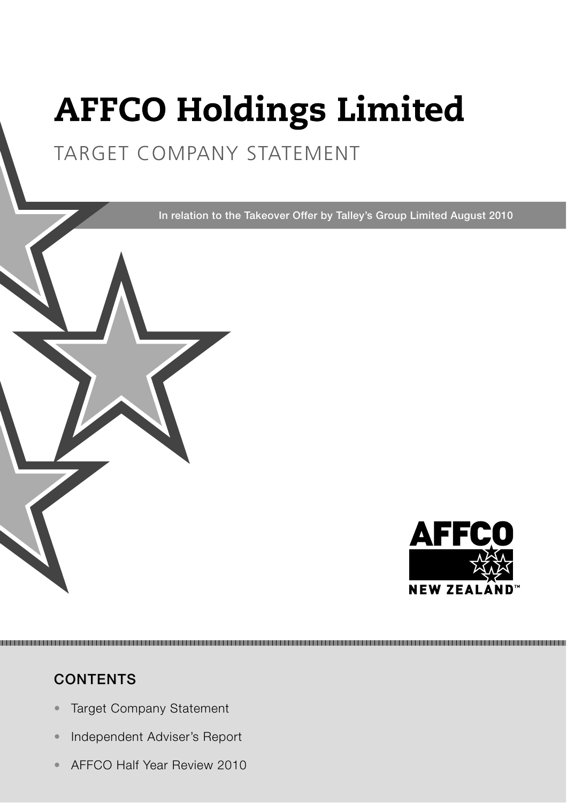# **AFFCO Holdings Limited**

# TARGET COMPANY STATEMENT

In relation to the Takeover Offer by Talley's Group Limited August 2010



## **CONTENTS**

- Target Company Statement
- Independent Adviser's Report
- AFFCO Half Year Review 2010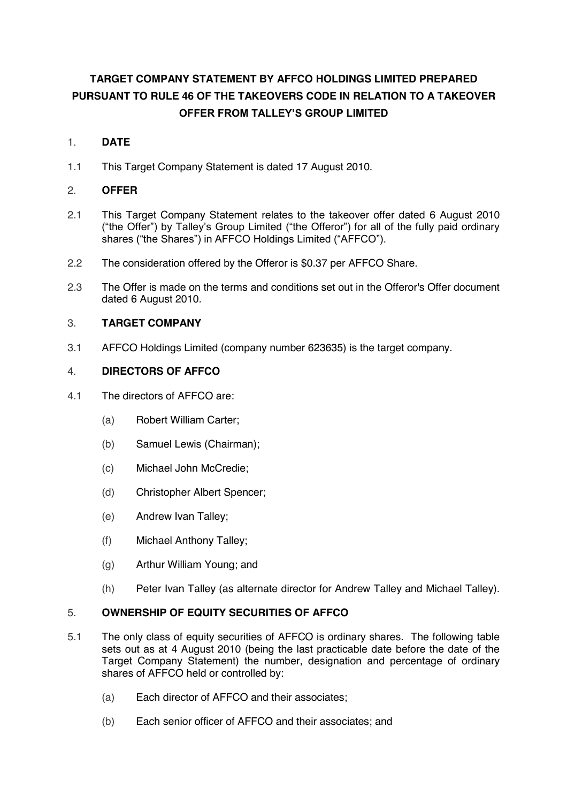### **TARGET COMPANY STATEMENT BY AFFCO HOLDINGS LIMITED PREPARED PURSUANT TO RULE 46 OF THE TAKEOVERS CODE IN RELATION TO A TAKEOVER OFFER FROM TALLEY'S GROUP LIMITED**

#### 1. **DATE**

1.1 This Target Company Statement is dated 17 August 2010.

#### 2. **OFFER**

- 2.1 This Target Company Statement relates to the takeover offer dated 6 August 2010 ("the Offer") by Talley's Group Limited ("the Offeror") for all of the fully paid ordinary shares ("the Shares") in AFFCO Holdings Limited ("AFFCO").
- 2.2 The consideration offered by the Offeror is \$0.37 per AFFCO Share.
- 2.3 The Offer is made on the terms and conditions set out in the Offeror's Offer document dated 6 August 2010.

#### 3. **TARGET COMPANY**

3.1 AFFCO Holdings Limited (company number 623635) is the target company.

#### 4. **DIRECTORS OF AFFCO**

- 4.1 The directors of AFFCO are:
	- (a) Robert William Carter;
	- (b) Samuel Lewis (Chairman);
	- (c) Michael John McCredie;
	- (d) Christopher Albert Spencer;
	- (e) Andrew Ivan Talley;
	- (f) Michael Anthony Talley;
	- (g) Arthur William Young; and
	- (h) Peter Ivan Talley (as alternate director for Andrew Talley and Michael Talley).

#### 5. **OWNERSHIP OF EQUITY SECURITIES OF AFFCO**

- 5.1 The only class of equity securities of AFFCO is ordinary shares. The following table sets out as at 4 August 2010 (being the last practicable date before the date of the Target Company Statement) the number, designation and percentage of ordinary shares of AFFCO held or controlled by:
	- (a) Each director of AFFCO and their associates;
	- (b) Each senior officer of AFFCO and their associates; and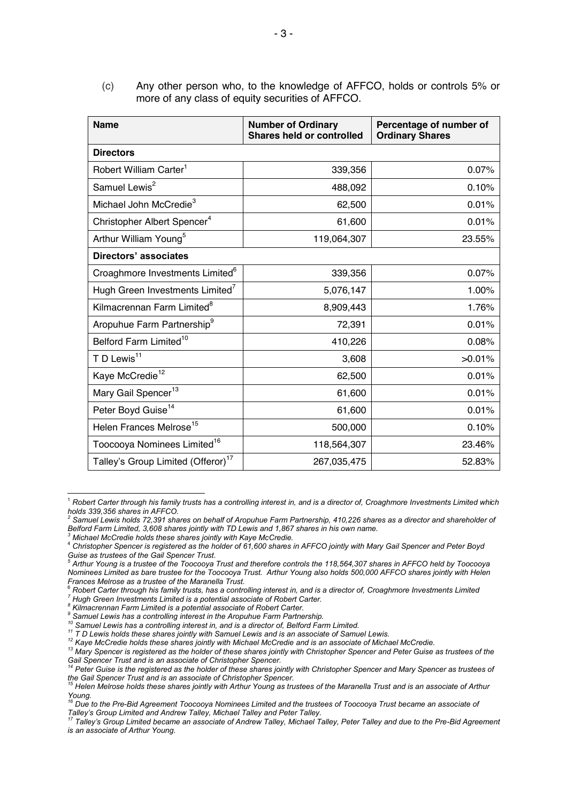(c) Any other person who, to the knowledge of AFFCO, holds or controls 5% or more of any class of equity securities of AFFCO.

| <b>Name</b>                                    | <b>Number of Ordinary</b><br><b>Shares held or controlled</b> | Percentage of number of<br><b>Ordinary Shares</b> |  |  |  |  |
|------------------------------------------------|---------------------------------------------------------------|---------------------------------------------------|--|--|--|--|
| <b>Directors</b>                               |                                                               |                                                   |  |  |  |  |
| Robert William Carter <sup>1</sup>             | 339,356                                                       | 0.07%                                             |  |  |  |  |
| Samuel Lewis <sup>2</sup>                      | 488,092                                                       | 0.10%                                             |  |  |  |  |
| Michael John McCredie <sup>3</sup>             | 62,500                                                        | 0.01%                                             |  |  |  |  |
| Christopher Albert Spencer <sup>4</sup>        | 61,600                                                        | 0.01%                                             |  |  |  |  |
| Arthur William Young <sup>5</sup>              | 119,064,307                                                   | 23.55%                                            |  |  |  |  |
| <b>Directors' associates</b>                   |                                                               |                                                   |  |  |  |  |
| Croaghmore Investments Limited <sup>6</sup>    | 339,356                                                       | 0.07%                                             |  |  |  |  |
| Hugh Green Investments Limited <sup>7</sup>    | 5,076,147                                                     | 1.00%                                             |  |  |  |  |
| Kilmacrennan Farm Limited <sup>8</sup>         | 8,909,443                                                     | 1.76%                                             |  |  |  |  |
| Aropuhue Farm Partnership <sup>9</sup>         | 72,391                                                        | 0.01%                                             |  |  |  |  |
| Belford Farm Limited <sup>10</sup>             | 410,226                                                       | 0.08%                                             |  |  |  |  |
| T D Lewis <sup>11</sup>                        | 3,608                                                         | >0.01%                                            |  |  |  |  |
| Kaye McCredie <sup>12</sup>                    | 62,500                                                        | 0.01%                                             |  |  |  |  |
| Mary Gail Spencer <sup>13</sup>                | 61,600                                                        | 0.01%                                             |  |  |  |  |
| Peter Boyd Guise <sup>14</sup>                 | 61,600                                                        | 0.01%                                             |  |  |  |  |
| Helen Frances Melrose <sup>15</sup>            | 500,000                                                       | 0.10%                                             |  |  |  |  |
| Toocooya Nominees Limited <sup>16</sup>        | 118,564,307                                                   | 23.46%                                            |  |  |  |  |
| Talley's Group Limited (Offeror) <sup>17</sup> | 267,035,475                                                   | 52.83%                                            |  |  |  |  |

<sup>1</sup> *Robert Carter through his family trusts has a controlling interest in, and is a director of, Croaghmore Investments Limited which holds 339,356 shares in AFFCO.* 

*3 Michael McCredie holds these shares jointly with Kaye McCredie.* 

 $\overline{a}$ 

*<sup>2</sup>* Samuel Lewis holds 72,391 shares on behalf of Aropuhue Farm Partnership, 410,226 shares as a director and shareholder of *Belford Farm Limited, 3,608 shares jointly with TD Lewis and 1,867 shares in his own name.* 

<sup>4</sup> *Christopher Spencer is registered as the holder of 61,600 shares in AFFCO jointly with Mary Gail Spencer and Peter Boyd Guise as trustees of the Gail Spencer Trust. 5*

*Arthur Young is a trustee of the Toocooya Trust and therefore controls the 118,564,307 shares in AFFCO held by Toocooya Nominees Limited as bare trustee for the Toocooya Trust. Arthur Young also holds 500,000 AFFCO shares jointly with Helen Frances Melrose as a trustee of the Maranella Trust.* 

<sup>6</sup> *Robert Carter through his family trusts, has a controlling interest in, and is a director of, Croaghmore Investments Limited <sup>7</sup>*

*Hugh Green Investments Limited is a potential associate of Robert Carter.* 

*<sup>8</sup> Kilmacrennan Farm Limited is a potential associate of Robert Carter.* 

*<sup>9</sup> Samuel Lewis has a controlling interest in the Aropuhue Farm Partnership.* 

<sup>&</sup>lt;sup>10</sup> Samuel Lewis has a controlling interest in, and is a director of, Belford Farm Limited.<br><sup>11</sup> T D Lewis holds these shares jointly with Samuel Lewis and is an associate of Samuel Lewis.<br><sup>12</sup> Kaye McCredie holds these s *Gail Spencer Trust and is an associate of Christopher Spencer.* 

*<sup>14</sup> Peter Guise is the registered as the holder of these shares jointly with Christopher Spencer and Mary Spencer as trustees of the Gail Spencer Trust and is an associate of Christopher Spencer. 15 Helen Melrose holds these shares jointly with Arthur Young as trustees of the Maranella Trust and is an associate of Arthur* 

*Young.* 

<sup>&</sup>lt;sup>16</sup> Due to the Pre-Bid Agreement Toocooya Nominees Limited and the trustees of Toocooya Trust became an associate of

Talley's Group Limited and Andrew Talley, Michael Talley and Peter Talley.<br><sup>17</sup> Talley's Group Limited became an associate of Andrew Talley, Michael Talley, Peter Talley and due to the Pre-Bid Agreement *is an associate of Arthur Young.*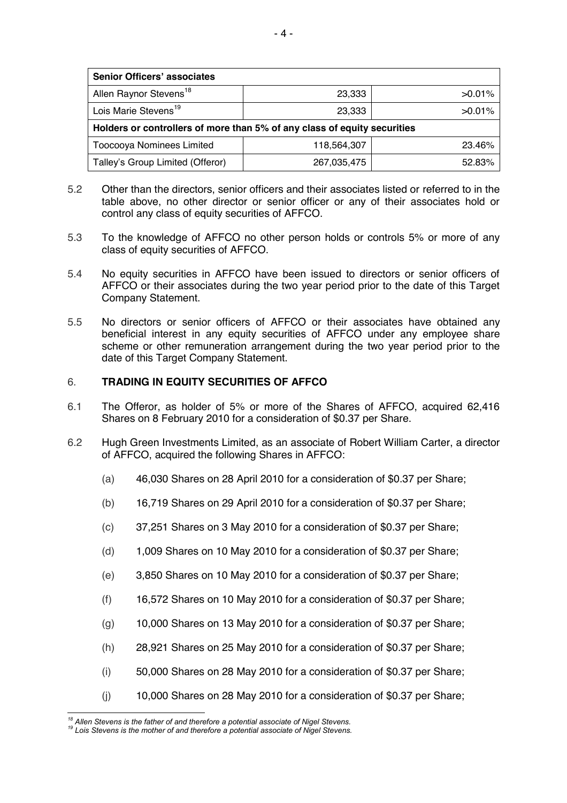| <b>Senior Officers' associates</b>                                       |             |           |  |  |  |  |
|--------------------------------------------------------------------------|-------------|-----------|--|--|--|--|
| Allen Raynor Stevens <sup>18</sup>                                       | 23,333      | $>0.01\%$ |  |  |  |  |
| Lois Marie Stevens <sup>19</sup>                                         | 23,333      | $>0.01\%$ |  |  |  |  |
| Holders or controllers of more than 5% of any class of equity securities |             |           |  |  |  |  |
| Toocooya Nominees Limited                                                | 118,564,307 | 23.46%    |  |  |  |  |
| Talley's Group Limited (Offeror)                                         | 267,035,475 | 52.83%    |  |  |  |  |

- 5.2 Other than the directors, senior officers and their associates listed or referred to in the table above, no other director or senior officer or any of their associates hold or control any class of equity securities of AFFCO.
- 5.3 To the knowledge of AFFCO no other person holds or controls 5% or more of any class of equity securities of AFFCO.
- 5.4 No equity securities in AFFCO have been issued to directors or senior officers of AFFCO or their associates during the two year period prior to the date of this Target Company Statement.
- 5.5 No directors or senior officers of AFFCO or their associates have obtained any beneficial interest in any equity securities of AFFCO under any employee share scheme or other remuneration arrangement during the two year period prior to the date of this Target Company Statement.

#### 6. **TRADING IN EQUITY SECURITIES OF AFFCO**

- 6.1 The Offeror, as holder of 5% or more of the Shares of AFFCO, acquired 62,416 Shares on 8 February 2010 for a consideration of \$0.37 per Share.
- 6.2 Hugh Green Investments Limited, as an associate of Robert William Carter, a director of AFFCO, acquired the following Shares in AFFCO:
	- (a) 46,030 Shares on 28 April 2010 for a consideration of \$0.37 per Share;
	- (b) 16,719 Shares on 29 April 2010 for a consideration of \$0.37 per Share;
	- (c) 37,251 Shares on 3 May 2010 for a consideration of \$0.37 per Share;
	- (d) 1,009 Shares on 10 May 2010 for a consideration of \$0.37 per Share;
	- (e) 3,850 Shares on 10 May 2010 for a consideration of \$0.37 per Share;
	- (f) 16,572 Shares on 10 May 2010 for a consideration of \$0.37 per Share;
	- (g) 10,000 Shares on 13 May 2010 for a consideration of \$0.37 per Share;
	- (h) 28,921 Shares on 25 May 2010 for a consideration of \$0.37 per Share;
	- (i) 50,000 Shares on 28 May 2010 for a consideration of \$0.37 per Share;
	- (j) 10,000 Shares on 28 May 2010 for a consideration of \$0.37 per Share;

<sup>&</sup>lt;sup>18</sup> Allen Stevens is the father of and therefore a potential associate of Nigel Stevens.

*<sup>18</sup> Allen Stevens is the father of and therefore a potential associate of Nigel Stevens. 19 Lois Stevens is the mother of and therefore a potential associate of Nigel Stevens.*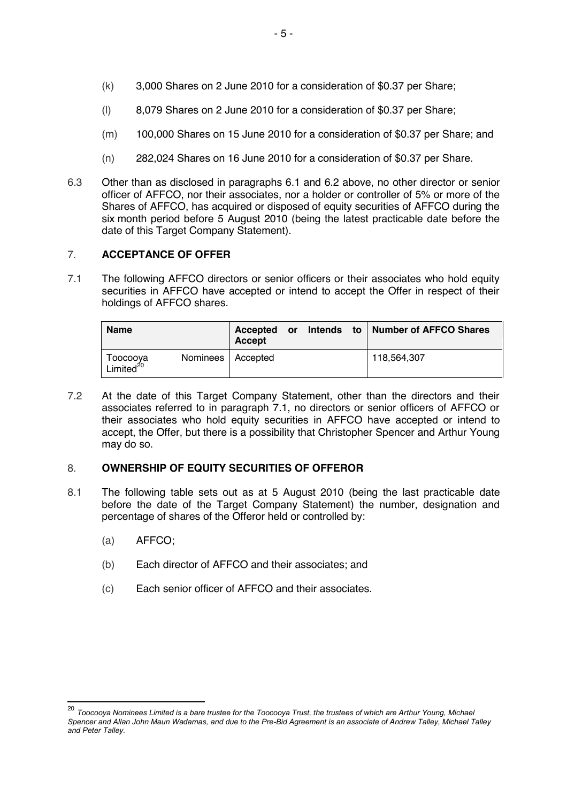- (k) 3,000 Shares on 2 June 2010 for a consideration of \$0.37 per Share;
- (l) 8,079 Shares on 2 June 2010 for a consideration of \$0.37 per Share;
- (m) 100,000 Shares on 15 June 2010 for a consideration of \$0.37 per Share; and
- (n) 282,024 Shares on 16 June 2010 for a consideration of \$0.37 per Share.
- 6.3 Other than as disclosed in paragraphs 6.1 and 6.2 above, no other director or senior officer of AFFCO, nor their associates, nor a holder or controller of 5% or more of the Shares of AFFCO, has acquired or disposed of equity securities of AFFCO during the six month period before 5 August 2010 (being the latest practicable date before the date of this Target Company Statement).

#### 7. **ACCEPTANCE OF OFFER**

7.1 The following AFFCO directors or senior officers or their associates who hold equity securities in AFFCO have accepted or intend to accept the Offer in respect of their holdings of AFFCO shares.

| Name                              |                     | Accepted<br>Accept | or | Intends | to   Number of AFFCO Shares |
|-----------------------------------|---------------------|--------------------|----|---------|-----------------------------|
| Toocooya<br>Limited <sup>20</sup> | Nominees   Accepted |                    |    |         | 118.564.307                 |

7.2 At the date of this Target Company Statement, other than the directors and their associates referred to in paragraph 7.1, no directors or senior officers of AFFCO or their associates who hold equity securities in AFFCO have accepted or intend to accept, the Offer, but there is a possibility that Christopher Spencer and Arthur Young may do so.

#### 8. **OWNERSHIP OF EQUITY SECURITIES OF OFFEROR**

- 8.1 The following table sets out as at 5 August 2010 (being the last practicable date before the date of the Target Company Statement) the number, designation and percentage of shares of the Offeror held or controlled by:
	- (a) AFFCO;

 $\overline{\phantom{a}}$ 

- (b) Each director of AFFCO and their associates; and
- (c) Each senior officer of AFFCO and their associates.

<sup>&</sup>lt;sup>20</sup> Toocooya Nominees Limited is a bare trustee for the Toocooya Trust, the trustees of which are Arthur Young, Michael *Spencer and Allan John Maun Wadamas, and due to the Pre-Bid Agreement is an associate of Andrew Talley, Michael Talley and Peter Talley.*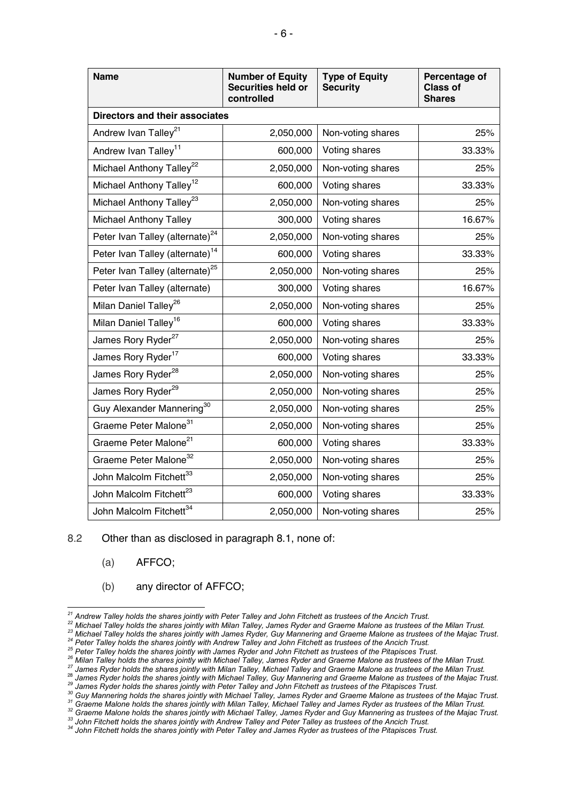| <b>Name</b>                                 | <b>Number of Equity</b><br><b>Securities held or</b><br>controlled | <b>Type of Equity</b><br><b>Security</b> | Percentage of<br><b>Class of</b><br><b>Shares</b> |  |  |  |  |
|---------------------------------------------|--------------------------------------------------------------------|------------------------------------------|---------------------------------------------------|--|--|--|--|
| <b>Directors and their associates</b>       |                                                                    |                                          |                                                   |  |  |  |  |
| Andrew Ivan Talley <sup>21</sup>            | 2,050,000                                                          | Non-voting shares                        | 25%                                               |  |  |  |  |
| Andrew Ivan Talley <sup>11</sup>            | 600,000                                                            | Voting shares                            | 33.33%                                            |  |  |  |  |
| Michael Anthony Talley <sup>22</sup>        | 2,050,000                                                          | Non-voting shares                        | 25%                                               |  |  |  |  |
| Michael Anthony Talley <sup>12</sup>        | 600,000                                                            | Voting shares                            | 33.33%                                            |  |  |  |  |
| Michael Anthony Talley <sup>23</sup>        | 2,050,000                                                          | Non-voting shares                        | 25%                                               |  |  |  |  |
| <b>Michael Anthony Talley</b>               | 300,000                                                            | Voting shares                            | 16.67%                                            |  |  |  |  |
| Peter Ivan Talley (alternate) <sup>24</sup> | 2,050,000                                                          | Non-voting shares                        | 25%                                               |  |  |  |  |
| Peter Ivan Talley (alternate) <sup>14</sup> | 600,000                                                            | Voting shares                            | 33.33%                                            |  |  |  |  |
| Peter Ivan Talley (alternate) <sup>25</sup> | 2,050,000                                                          | Non-voting shares                        | 25%                                               |  |  |  |  |
| Peter Ivan Talley (alternate)               | 300,000                                                            | Voting shares                            | 16.67%                                            |  |  |  |  |
| Milan Daniel Talley <sup>26</sup>           | 2,050,000                                                          | Non-voting shares                        | 25%                                               |  |  |  |  |
| Milan Daniel Talley <sup>16</sup>           | 600,000                                                            | Voting shares                            | 33.33%                                            |  |  |  |  |
| James Rory Ryder <sup>27</sup>              | 2,050,000                                                          | Non-voting shares                        | 25%                                               |  |  |  |  |
| James Rory Ryder <sup>17</sup>              | 600,000                                                            | Voting shares                            | 33.33%                                            |  |  |  |  |
| James Rory Ryder <sup>28</sup>              | 2,050,000                                                          | Non-voting shares                        | 25%                                               |  |  |  |  |
| James Rory Ryder <sup>29</sup>              | 2,050,000                                                          | Non-voting shares                        | 25%                                               |  |  |  |  |
| Guy Alexander Mannering <sup>30</sup>       | 2,050,000                                                          | Non-voting shares                        | 25%                                               |  |  |  |  |
| Graeme Peter Malone <sup>31</sup>           | 2,050,000                                                          | Non-voting shares                        | 25%                                               |  |  |  |  |
| Graeme Peter Malone <sup>21</sup>           | 600,000                                                            | Voting shares                            | 33.33%                                            |  |  |  |  |
| Graeme Peter Malone <sup>32</sup>           | 2,050,000                                                          | Non-voting shares                        | 25%                                               |  |  |  |  |
| John Malcolm Fitchett <sup>33</sup>         | 2,050,000                                                          | Non-voting shares                        | 25%                                               |  |  |  |  |
| John Malcolm Fitchett <sup>23</sup>         | 600,000                                                            | Voting shares                            | 33.33%                                            |  |  |  |  |
| John Malcolm Fitchett <sup>34</sup>         | 2,050,000                                                          | Non-voting shares                        | 25%                                               |  |  |  |  |

8.2 Other than as disclosed in paragraph 8.1, none of:

- (a) AFFCO;
- (b) any director of AFFCO;

24 Michael Talley holds the shares jointly with Milan Talley, James Ryder and Graeme Malone as trustees of the Milan Trust.<br>
<sup>23</sup> Michael Talley holds the shares jointly with Milan Talley, James Ryder and Graeme Malone as

- 
- 
- 

<sup>&</sup>lt;sup>21</sup> Andrew Talley holds the shares jointly with Peter Talley and John Fitchett as trustees of the Ancich Trust.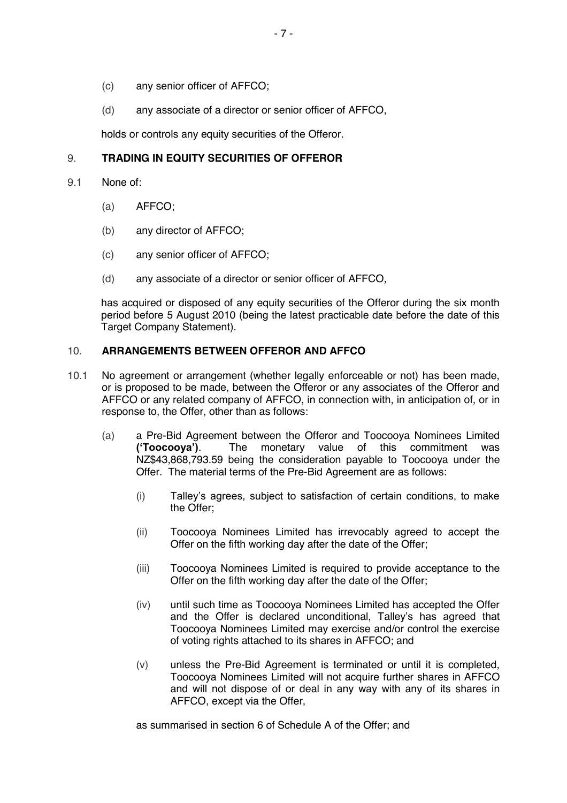- (c) any senior officer of AFFCO;
- (d) any associate of a director or senior officer of AFFCO,

holds or controls any equity securities of the Offeror.

#### 9. **TRADING IN EQUITY SECURITIES OF OFFEROR**

- 9.1 None of:
	- (a) AFFCO;
	- (b) any director of AFFCO;
	- (c) any senior officer of AFFCO;
	- (d) any associate of a director or senior officer of AFFCO,

has acquired or disposed of any equity securities of the Offeror during the six month period before 5 August 2010 (being the latest practicable date before the date of this Target Company Statement).

#### 10. **ARRANGEMENTS BETWEEN OFFEROR AND AFFCO**

- 10.1 No agreement or arrangement (whether legally enforceable or not) has been made, or is proposed to be made, between the Offeror or any associates of the Offeror and AFFCO or any related company of AFFCO, in connection with, in anticipation of, or in response to, the Offer, other than as follows:
	- (a) a Pre-Bid Agreement between the Offeror and Toocooya Nominees Limited **('Toocooya')**. The monetary value of this commitment was NZ\$43,868,793.59 being the consideration payable to Toocooya under the Offer. The material terms of the Pre-Bid Agreement are as follows:
		- (i) Talley's agrees, subject to satisfaction of certain conditions, to make the Offer;
		- (ii) Toocooya Nominees Limited has irrevocably agreed to accept the Offer on the fifth working day after the date of the Offer;
		- (iii) Toocooya Nominees Limited is required to provide acceptance to the Offer on the fifth working day after the date of the Offer;
		- (iv) until such time as Toocooya Nominees Limited has accepted the Offer and the Offer is declared unconditional, Talley's has agreed that Toocooya Nominees Limited may exercise and/or control the exercise of voting rights attached to its shares in AFFCO; and
		- (v) unless the Pre-Bid Agreement is terminated or until it is completed, Toocooya Nominees Limited will not acquire further shares in AFFCO and will not dispose of or deal in any way with any of its shares in AFFCO, except via the Offer,

as summarised in section 6 of Schedule A of the Offer; and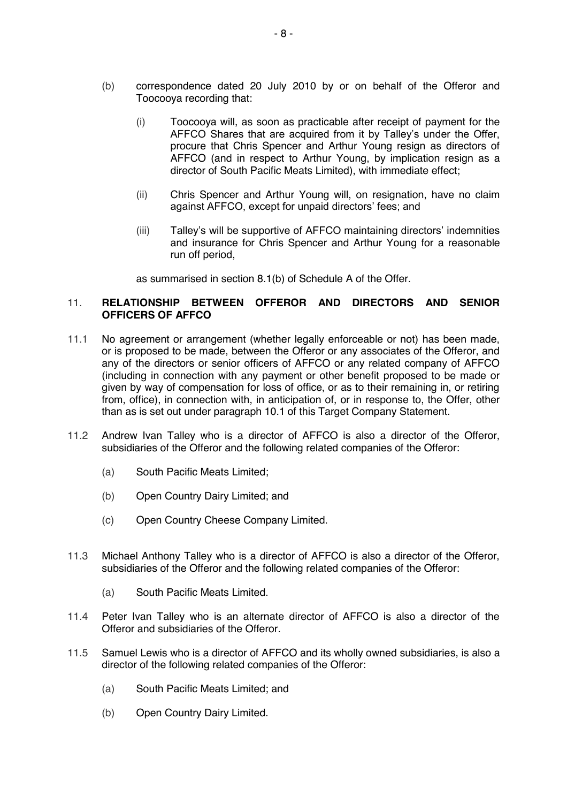- (b) correspondence dated 20 July 2010 by or on behalf of the Offeror and Toocooya recording that:
	- (i) Toocooya will, as soon as practicable after receipt of payment for the AFFCO Shares that are acquired from it by Talley's under the Offer, procure that Chris Spencer and Arthur Young resign as directors of AFFCO (and in respect to Arthur Young, by implication resign as a director of South Pacific Meats Limited), with immediate effect;
	- (ii) Chris Spencer and Arthur Young will, on resignation, have no claim against AFFCO, except for unpaid directors' fees; and
	- (iii) Talley's will be supportive of AFFCO maintaining directors' indemnities and insurance for Chris Spencer and Arthur Young for a reasonable run off period,

as summarised in section 8.1(b) of Schedule A of the Offer.

#### 11. **RELATIONSHIP BETWEEN OFFEROR AND DIRECTORS AND SENIOR OFFICERS OF AFFCO**

- 11.1 No agreement or arrangement (whether legally enforceable or not) has been made, or is proposed to be made, between the Offeror or any associates of the Offeror, and any of the directors or senior officers of AFFCO or any related company of AFFCO (including in connection with any payment or other benefit proposed to be made or given by way of compensation for loss of office, or as to their remaining in, or retiring from, office), in connection with, in anticipation of, or in response to, the Offer, other than as is set out under paragraph 10.1 of this Target Company Statement.
- 11.2 Andrew Ivan Talley who is a director of AFFCO is also a director of the Offeror, subsidiaries of the Offeror and the following related companies of the Offeror:
	- (a) South Pacific Meats Limited;
	- (b) Open Country Dairy Limited; and
	- (c) Open Country Cheese Company Limited.
- 11.3 Michael Anthony Talley who is a director of AFFCO is also a director of the Offeror, subsidiaries of the Offeror and the following related companies of the Offeror:
	- (a) South Pacific Meats Limited.
- 11.4 Peter Ivan Talley who is an alternate director of AFFCO is also a director of the Offeror and subsidiaries of the Offeror.
- 11.5 Samuel Lewis who is a director of AFFCO and its wholly owned subsidiaries, is also a director of the following related companies of the Offeror:
	- (a) South Pacific Meats Limited; and
	- (b) Open Country Dairy Limited.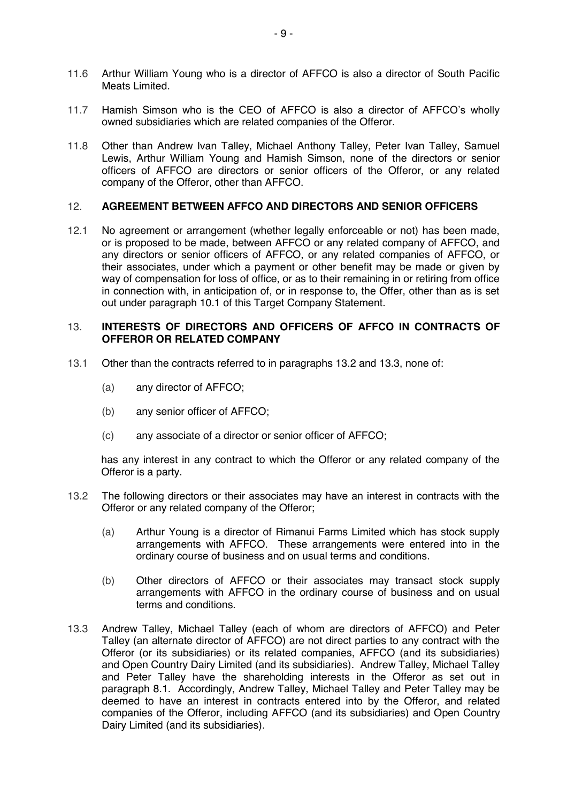- 11.6 Arthur William Young who is a director of AFFCO is also a director of South Pacific Meats Limited.
- 11.7 Hamish Simson who is the CEO of AFFCO is also a director of AFFCO's wholly owned subsidiaries which are related companies of the Offeror.
- 11.8 Other than Andrew Ivan Talley, Michael Anthony Talley, Peter Ivan Talley, Samuel Lewis, Arthur William Young and Hamish Simson, none of the directors or senior officers of AFFCO are directors or senior officers of the Offeror, or any related company of the Offeror, other than AFFCO.

#### 12. **AGREEMENT BETWEEN AFFCO AND DIRECTORS AND SENIOR OFFICERS**

12.1 No agreement or arrangement (whether legally enforceable or not) has been made, or is proposed to be made, between AFFCO or any related company of AFFCO, and any directors or senior officers of AFFCO, or any related companies of AFFCO, or their associates, under which a payment or other benefit may be made or given by way of compensation for loss of office, or as to their remaining in or retiring from office in connection with, in anticipation of, or in response to, the Offer, other than as is set out under paragraph 10.1 of this Target Company Statement.

#### 13. **INTERESTS OF DIRECTORS AND OFFICERS OF AFFCO IN CONTRACTS OF OFFEROR OR RELATED COMPANY**

- 13.1 Other than the contracts referred to in paragraphs 13.2 and 13.3, none of:
	- (a) any director of AFFCO;
	- (b) any senior officer of AFFCO;
	- (c) any associate of a director or senior officer of AFFCO;

has any interest in any contract to which the Offeror or any related company of the Offeror is a party.

- 13.2 The following directors or their associates may have an interest in contracts with the Offeror or any related company of the Offeror;
	- (a) Arthur Young is a director of Rimanui Farms Limited which has stock supply arrangements with AFFCO. These arrangements were entered into in the ordinary course of business and on usual terms and conditions.
	- (b) Other directors of AFFCO or their associates may transact stock supply arrangements with AFFCO in the ordinary course of business and on usual terms and conditions.
- 13.3 Andrew Talley, Michael Talley (each of whom are directors of AFFCO) and Peter Talley (an alternate director of AFFCO) are not direct parties to any contract with the Offeror (or its subsidiaries) or its related companies, AFFCO (and its subsidiaries) and Open Country Dairy Limited (and its subsidiaries). Andrew Talley, Michael Talley and Peter Talley have the shareholding interests in the Offeror as set out in paragraph 8.1. Accordingly, Andrew Talley, Michael Talley and Peter Talley may be deemed to have an interest in contracts entered into by the Offeror, and related companies of the Offeror, including AFFCO (and its subsidiaries) and Open Country Dairy Limited (and its subsidiaries).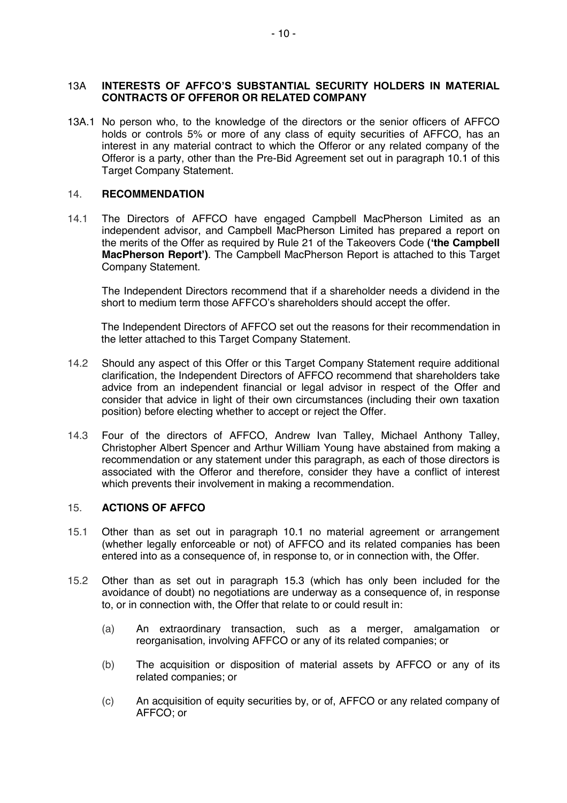#### 13A **INTERESTS OF AFFCO'S SUBSTANTIAL SECURITY HOLDERS IN MATERIAL CONTRACTS OF OFFEROR OR RELATED COMPANY**

13A.1 No person who, to the knowledge of the directors or the senior officers of AFFCO holds or controls 5% or more of any class of equity securities of AFFCO, has an interest in any material contract to which the Offeror or any related company of the Offeror is a party, other than the Pre-Bid Agreement set out in paragraph 10.1 of this Target Company Statement.

#### 14. **RECOMMENDATION**

14.1 The Directors of AFFCO have engaged Campbell MacPherson Limited as an independent advisor, and Campbell MacPherson Limited has prepared a report on the merits of the Offer as required by Rule 21 of the Takeovers Code **('the Campbell MacPherson Report')**. The Campbell MacPherson Report is attached to this Target Company Statement.

The Independent Directors recommend that if a shareholder needs a dividend in the short to medium term those AFFCO's shareholders should accept the offer.

The Independent Directors of AFFCO set out the reasons for their recommendation in the letter attached to this Target Company Statement.

- 14.2 Should any aspect of this Offer or this Target Company Statement require additional clarification, the Independent Directors of AFFCO recommend that shareholders take advice from an independent financial or legal advisor in respect of the Offer and consider that advice in light of their own circumstances (including their own taxation position) before electing whether to accept or reject the Offer.
- 14.3 Four of the directors of AFFCO, Andrew Ivan Talley, Michael Anthony Talley, Christopher Albert Spencer and Arthur William Young have abstained from making a recommendation or any statement under this paragraph, as each of those directors is associated with the Offeror and therefore, consider they have a conflict of interest which prevents their involvement in making a recommendation.

#### 15. **ACTIONS OF AFFCO**

- 15.1 Other than as set out in paragraph 10.1 no material agreement or arrangement (whether legally enforceable or not) of AFFCO and its related companies has been entered into as a consequence of, in response to, or in connection with, the Offer.
- 15.2 Other than as set out in paragraph 15.3 (which has only been included for the avoidance of doubt) no negotiations are underway as a consequence of, in response to, or in connection with, the Offer that relate to or could result in:
	- (a) An extraordinary transaction, such as a merger, amalgamation or reorganisation, involving AFFCO or any of its related companies; or
	- (b) The acquisition or disposition of material assets by AFFCO or any of its related companies; or
	- (c) An acquisition of equity securities by, or of, AFFCO or any related company of AFFCO; or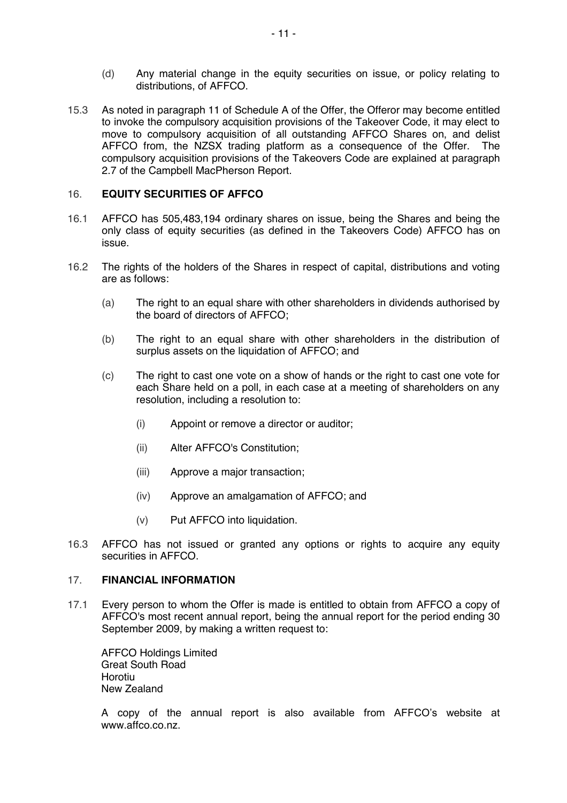- (d) Any material change in the equity securities on issue, or policy relating to distributions, of AFFCO.
- 15.3 As noted in paragraph 11 of Schedule A of the Offer, the Offeror may become entitled to invoke the compulsory acquisition provisions of the Takeover Code, it may elect to move to compulsory acquisition of all outstanding AFFCO Shares on, and delist AFFCO from, the NZSX trading platform as a consequence of the Offer. The compulsory acquisition provisions of the Takeovers Code are explained at paragraph 2.7 of the Campbell MacPherson Report.

#### 16. **EQUITY SECURITIES OF AFFCO**

- 16.1 AFFCO has 505,483,194 ordinary shares on issue, being the Shares and being the only class of equity securities (as defined in the Takeovers Code) AFFCO has on issue.
- 16.2 The rights of the holders of the Shares in respect of capital, distributions and voting are as follows:
	- (a) The right to an equal share with other shareholders in dividends authorised by the board of directors of AFFCO;
	- (b) The right to an equal share with other shareholders in the distribution of surplus assets on the liquidation of AFFCO; and
	- (c) The right to cast one vote on a show of hands or the right to cast one vote for each Share held on a poll, in each case at a meeting of shareholders on any resolution, including a resolution to:
		- (i) Appoint or remove a director or auditor;
		- (ii) Alter AFFCO's Constitution;
		- (iii) Approve a major transaction;
		- (iv) Approve an amalgamation of AFFCO; and
		- (v) Put AFFCO into liquidation.
- 16.3 AFFCO has not issued or granted any options or rights to acquire any equity securities in AFFCO.

#### 17. **FINANCIAL INFORMATION**

17.1 Every person to whom the Offer is made is entitled to obtain from AFFCO a copy of AFFCO's most recent annual report, being the annual report for the period ending 30 September 2009, by making a written request to:

AFFCO Holdings Limited Great South Road Horotiu New Zealand

A copy of the annual report is also available from AFFCO's website at www.affco.co.nz.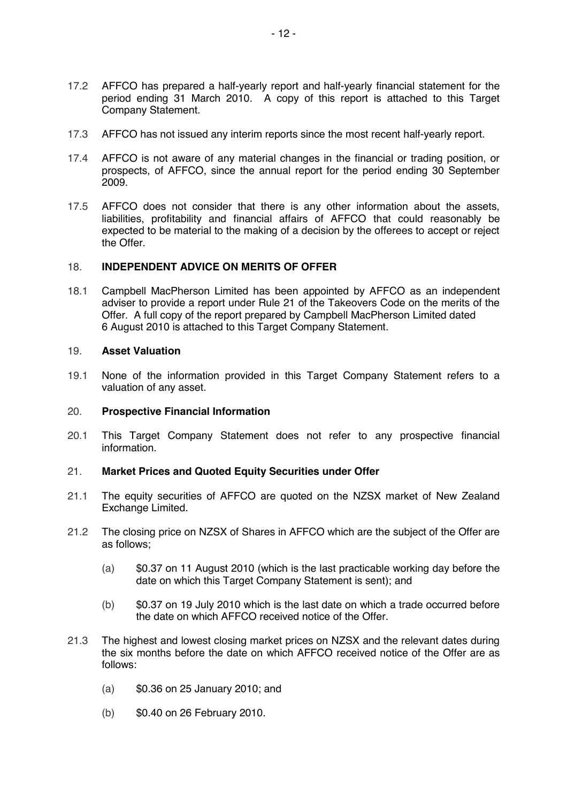- 17.2 AFFCO has prepared a half-yearly report and half-yearly financial statement for the period ending 31 March 2010. A copy of this report is attached to this Target Company Statement.
- 17.3 AFFCO has not issued any interim reports since the most recent half-yearly report.
- 17.4 AFFCO is not aware of any material changes in the financial or trading position, or prospects, of AFFCO, since the annual report for the period ending 30 September 2009.
- 17.5 AFFCO does not consider that there is any other information about the assets, liabilities, profitability and financial affairs of AFFCO that could reasonably be expected to be material to the making of a decision by the offerees to accept or reject the Offer.

#### 18. **INDEPENDENT ADVICE ON MERITS OF OFFER**

18.1 Campbell MacPherson Limited has been appointed by AFFCO as an independent adviser to provide a report under Rule 21 of the Takeovers Code on the merits of the Offer. A full copy of the report prepared by Campbell MacPherson Limited dated 6 August 2010 is attached to this Target Company Statement.

#### 19. **Asset Valuation**

19.1 None of the information provided in this Target Company Statement refers to a valuation of any asset.

#### 20. **Prospective Financial Information**

20.1 This Target Company Statement does not refer to any prospective financial information.

#### 21. **Market Prices and Quoted Equity Securities under Offer**

- 21.1 The equity securities of AFFCO are quoted on the NZSX market of New Zealand Exchange Limited.
- 21.2 The closing price on NZSX of Shares in AFFCO which are the subject of the Offer are as follows;
	- (a) \$0.37 on 11 August 2010 (which is the last practicable working day before the date on which this Target Company Statement is sent); and
	- (b) \$0.37 on 19 July 2010 which is the last date on which a trade occurred before the date on which AFFCO received notice of the Offer.
- 21.3 The highest and lowest closing market prices on NZSX and the relevant dates during the six months before the date on which AFFCO received notice of the Offer are as follows:
	- (a) \$0.36 on 25 January 2010; and
	- (b) \$0.40 on 26 February 2010.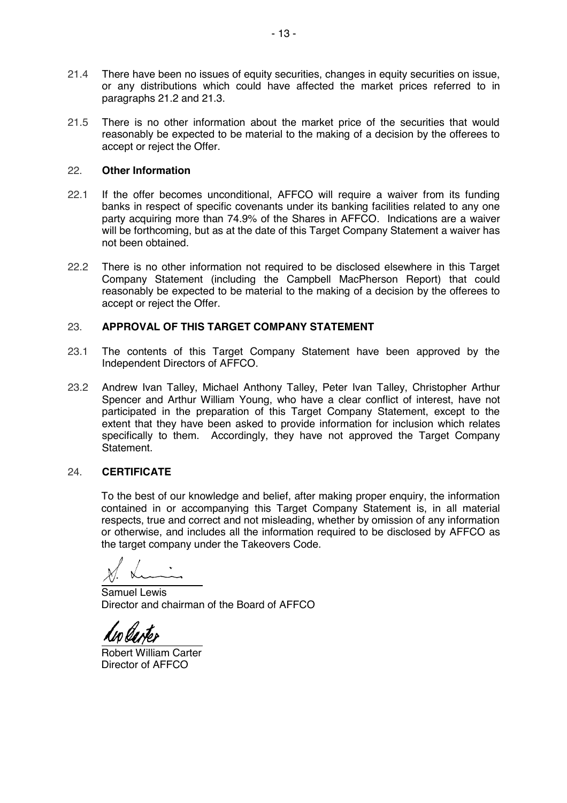- 21.4 There have been no issues of equity securities, changes in equity securities on issue, or any distributions which could have affected the market prices referred to in paragraphs 21.2 and 21.3.
- 21.5 There is no other information about the market price of the securities that would reasonably be expected to be material to the making of a decision by the offerees to accept or reject the Offer.

#### 22. **Other Information**

- 22.1 If the offer becomes unconditional, AFFCO will require a waiver from its funding banks in respect of specific covenants under its banking facilities related to any one party acquiring more than 74.9% of the Shares in AFFCO. Indications are a waiver will be forthcoming, but as at the date of this Target Company Statement a waiver has not been obtained.
- 22.2 There is no other information not required to be disclosed elsewhere in this Target Company Statement (including the Campbell MacPherson Report) that could reasonably be expected to be material to the making of a decision by the offerees to accept or reject the Offer.

#### 23. **APPROVAL OF THIS TARGET COMPANY STATEMENT**

- 23.1 The contents of this Target Company Statement have been approved by the Independent Directors of AFFCO.
- 23.2 Andrew Ivan Talley, Michael Anthony Talley, Peter Ivan Talley, Christopher Arthur Spencer and Arthur William Young, who have a clear conflict of interest, have not participated in the preparation of this Target Company Statement, except to the extent that they have been asked to provide information for inclusion which relates specifically to them. Accordingly, they have not approved the Target Company **Statement**

#### 24. **CERTIFICATE**

To the best of our knowledge and belief, after making proper enquiry, the information contained in or accompanying this Target Company Statement is, in all material respects, true and correct and not misleading, whether by omission of any information or otherwise, and includes all the information required to be disclosed by AFFCO as the target company under the Takeovers Code.

 $\overline{a}$ 

Samuel Lewis Director and chairman of the Board of AFFCO

 $\overline{a}$ 

Robert William Carter Director of AFFCO